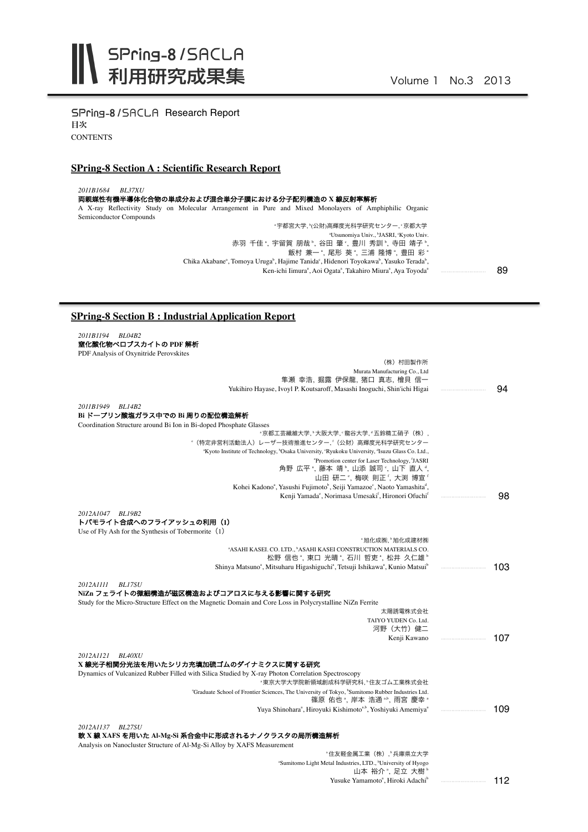SPring-8/SACLA Research Report 目次 **CONTENTS** 

## **SPring-8 Section A : Scientific Research Report**

*2011B1684 BL37XU*

両親媒性有機半導体化合物の単成分および混合単分子膜における分子配列構造の **X** 線反射率解析 A X-ray Reflectivity Study on Molecular Arrangement in Pure and Mixed Monolayers of Amphiphilic Organic Semiconductor Compounds<br>、ア都宮大学, "(公財)高輝度光科学研究センター, て京都大学。 "Utsunomiya Univ., "JASRI, "Kyoto Univ. 赤羽 千佳", 宇留賀 朋哉", 谷田 肇", 豊川 秀訓", 寺田 靖子", 飯村 兼一 ª, 尾形 葵 ª, 三浦 隆博 ª, 豊田 彩 ª

Chika Akabaneª, Tomoya Urugaʰ, Hajime Tanidaʿ, Hidenori Toyokawaʰ, Yasuko Teradaʰ, Ken-ichi Iimura<sup>a</sup>, Aoi Ogata<sup>a</sup>, Takahiro Miura<sup>a</sup>, Aya Toyoda<sup>a</sup> 89 ・・・・・・・・・・・・・・・・・・・・・・・・・・・・・・

## **SPring-8 Section B : Industrial Application Report**

*2011B1194 BL04B2* 窒化酸化物ペロブスカイトの **PDF** 解析 PDF Analysis of Oxynitride Perovskites (株) 村田製作所 Murata Manufacturing Co., Ltd 隼瀬 幸浩, 掘露 伊保龍, 猪口 真志, 檜貝 信一 Yukihiro Hayase, Ivoyl P. Koutsaroff, Masashi Inoguchi, Shin'ichi Higai *2011B1949 BL14B2* **Bi** ドープリン酸塩ガラス中での **Bi** 周りの配位構造解析 Coordination Structure around Bi Ion in Bi-doped Phosphate Glasses "京都工芸繊維大学, "大阪大学, "龍谷大学, "五鈴精工硝子(株), <sup>。</sup>(特定非営利活動法人)レーザー技術推進センター, '(公財)高輝度光科学研究センター "Kyoto Institute of Technology, "Osaka University, "Ryukoku University, "Isuzu Glass Co. Ltd., e Promotion center for Laser Technology, f JASRI 角野 広平 ª, 藤本 靖 º, 山添 誠司 º, 山下 直人 ª, 山田 研二°, 梅咲 則正', 大渕 博宣' Kohei Kadonoª, Yasushi Fujimoto<sup>b</sup>, Seiji Yamazoe°, Naoto Yamashita<sup>d</sup>, Kenji Yamada°, Norimasa Umesaki<sup>f</sup>, Hironori Ofuchi<sup>f</sup> *2012A1047 BL19B2* トバモライト合成へのフライアッシュの利用(**1**) Use of Fly Ash for the Synthesis of Tobermorite (1) \* 旭化成佛材料 a ASAHI KASEI. CO. LTD., b ASAHI KASEI CONSTRUCTION MATERIALS CO. 松野 信也", 東口 光晴", 石川 哲吏", 松井 久仁雄" Shinya Matsuno<sup>a</sup>, Mitsuharu Higashiguchi<sup>a</sup>, Tetsuji Ishikawa<sup>a</sup>, Kunio Matsui<sup>b</sup> *2012A1111 BL17SU* **NiZn** フェライトの微細構造が磁区構造およびコアロスに与える影響に関する研究 Study for the Micro-Structure Effect on the Magnetic Domain and Core Loss in Polycrystalline NiZn Ferrite 太陽誘電株式会社 TAIYO YUDEN Co. Ltd. 河野(大竹)健二 Kenji Kawano *2012A1121 BL40XU* **X** 線光子相関分光法を用いたシリカ充填加硫ゴムのダイナミクスに関する研究 Dynamics of Vulcanized Rubber Filled with Silica Studied by X-ray Photon Correlation Spectroscopy \*東京大学大学院新領域創成科学研究科, \*住友ゴム工業株式会社 "Graduate School of Frontier Sciences, The University of Tokyo, "Sumitomo Rubber Industries Ltd."<br>- 篠原 佑也 。岸本 浩通 <sup>a,b</sup>, 雨宮 慶幸 Yuya Shinohara<sup>a</sup>, Hiroyuki Kishimoto<sup>a,b</sup>, Yoshiyuki Amemiya<sup>a</sup> *2012A1137 BL27SU* 軟 **X** 線 **XAFS** を用いた **Al-Mg-Si** 系合金中に形成されるナノクラスタの局所構造解析 Analysis on Nanocluster Structure of Al-Mg-Si Alloy by XAFS Measurement ◦住友軽金属工業(株),▷兵庫県立大学 <sup>a</sup>Sumitomo Light Metal Industries, LTD., <sup>b</sup>University of Hyogo 94 98 103 107 109 ・・・・・・・・・・・・・・・・・・・・・・・・・・・・・・

山本 裕介 ,足立 大樹 。 Yusuke Yamamoto<sup>a</sup>, Hiroki Adachi<sup>b</sup> 112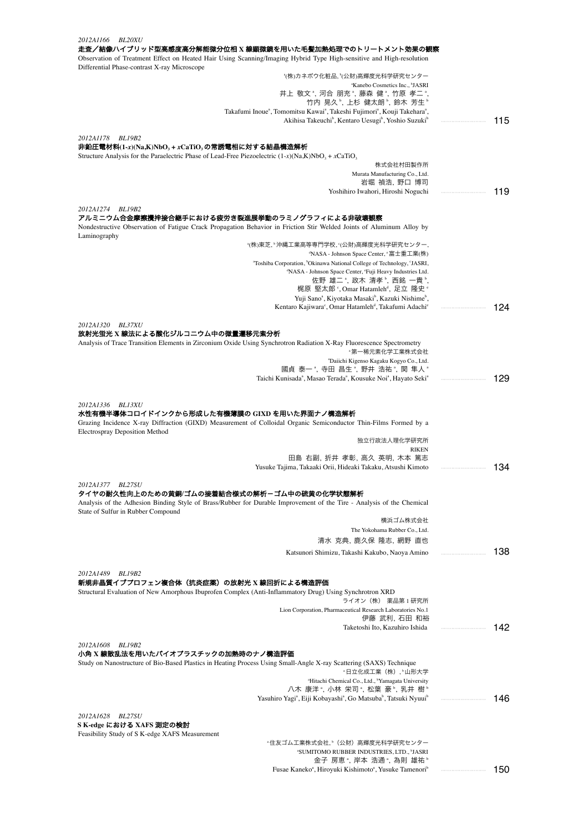| 2012A1166<br><i>BL20XU</i><br>走査/結像ハイブリッド型高感度高分解能微分位相 X 線顕微鏡を用いた毛髪加熱処理でのトリートメント効果の観察                                                                                                                                                                   |     |
|--------------------------------------------------------------------------------------------------------------------------------------------------------------------------------------------------------------------------------------------------------|-----|
| Observation of Treatment Effect on Heated Hair Using Scanning/Imaging Hybrid Type High-sensitive and High-resolution<br>Differential Phase-contrast X-ray Microscope                                                                                   |     |
| *(株)カネボウ化粧品, *(公財)高輝度光科学研究センター                                                                                                                                                                                                                         |     |
| "Kanebo Cosmetics Inc., "JASRI                                                                                                                                                                                                                         |     |
| 井上 敬文 ै, 河合 朋充 ै, 藤森 健 ै, 竹原 孝二 ै,<br>竹内 晃久 ",上杉 健太朗 ",鈴木 芳生 "                                                                                                                                                                                         |     |
| Takafumi Inoue <sup>a</sup> , Tomomitsu Kawai <sup>a</sup> , Takeshi Fujimori <sup>a</sup> , Kouji Takehara <sup>a</sup> ,                                                                                                                             |     |
| Akihisa Takeuchi <sup>b</sup> , Kentaro Uesugi <sup>b</sup> , Yoshio Suzuki <sup>b</sup>                                                                                                                                                               | 115 |
| 2012A1178<br>BL19B2                                                                                                                                                                                                                                    |     |
| 非鉛圧電材料(1-x)(Na,K)NbO <sub>3</sub> + xCaTiO <sub>3</sub> の常誘電相に対する結晶構造解析                                                                                                                                                                                |     |
| Structure Analysis for the Paraelectric Phase of Lead-Free Piezoelectric $(1-x)(Na,K)NbO3 + xCaTiO3$                                                                                                                                                   |     |
| 株式会社村田製作所                                                                                                                                                                                                                                              |     |
| Murata Manufacturing Co., Ltd.<br>岩堀 禎浩, 野口 博司                                                                                                                                                                                                         |     |
| Yoshihiro Iwahori, Hiroshi Noguchi                                                                                                                                                                                                                     | 119 |
| 2012A1274 BL19B2                                                                                                                                                                                                                                       |     |
| アルミニウム合金摩擦攪拌接合継手における疲労き裂進展挙動のラミノグラフィによる非破壊観察<br>Nondestructive Observation of Fatigue Crack Propagation Behavior in Friction Stir Welded Joints of Aluminum Alloy by<br>Laminography                                                                   |     |
| *(株)東芝.〝沖縄工業高等専門学校.℃公財)高輝度光科学研究センター.                                                                                                                                                                                                                   |     |
| <sup>d</sup> NASA - Johnson Space Center, <sup>e</sup> 富士重工業(株)                                                                                                                                                                                        |     |
| "Toshiba Corporation, <sup>b</sup> Okinawa National College of Technology, 'JASRI,<br><sup>d</sup> NASA - Johnson Space Center, 'Fuji Heavy Industries Ltd.                                                                                            |     |
| 佐野 雄二 ి, 政木 清孝 ゚, 西銘 一貴 ゚                                                                                                                                                                                                                              |     |
| 梶原 堅太郎 °,Omar Hatamleh <sup>a</sup> , 足立 隆史 °                                                                                                                                                                                                          |     |
| Yuji Sano <sup>a</sup> , Kiyotaka Masaki <sup>b</sup> , Kazuki Nishime <sup>b</sup> ,<br>Kentaro Kajiwara <sup>c</sup> , Omar Hatamleh <sup>d</sup> , Takafumi Adachi <sup>e</sup>                                                                     | 124 |
|                                                                                                                                                                                                                                                        |     |
| 2012A1320 BL37XU                                                                                                                                                                                                                                       |     |
| 放射光蛍光 X 線法による酸化ジルコニウム中の微量遷移元素分析                                                                                                                                                                                                                        |     |
| Analysis of Trace Transition Elements in Zirconium Oxide Using Synchrotron Radiation X-Ray Fluorescence Spectrometry<br>"第一稀元素化学工業株式会社                                                                                                                 |     |
| "Daiichi Kigenso Kagaku Kogyo Co., Ltd.                                                                                                                                                                                                                |     |
| 國貞 泰一 *, 寺田 昌生 *, 野井 浩祐 *, 関 隼人 *                                                                                                                                                                                                                      |     |
| Taichi Kunisada <sup>a</sup> , Masao Terada <sup>a</sup> , Kousuke Noi <sup>a</sup> , Hayato Seki <sup>a</sup>                                                                                                                                         | 129 |
| 2012A1336<br><b>BL13XU</b><br>水性有機半導体コロイドインクから形成した有機薄膜の GIXD を用いた界面ナノ構造解析<br>Grazing Incidence X-ray Diffraction (GIXD) Measurement of Colloidal Organic Semiconductor Thin-Films Formed by a<br><b>Electrospray Deposition Method</b><br>独立行政法人理化学研究所 |     |
| <b>RIKEN</b>                                                                                                                                                                                                                                           |     |
| 田島 右副, 折井 孝彰, 高久 英明, 木本 篤志<br>Yusuke Tajima, Takaaki Orii, Hideaki Takaku, Atsushi Kimoto                                                                                                                                                              | 134 |
|                                                                                                                                                                                                                                                        |     |
| 2012A1377 BL27SU<br>タイヤの耐久性向上のための黄銅/ゴムの接着結合様式の解析ーゴム中の硫黄の化学状態解析<br>Analysis of the Adhesion Binding Style of Brass/Rubber for Durable Improvement of the Tire - Analysis of the Chemical                                                                |     |
| State of Sulfur in Rubber Compound                                                                                                                                                                                                                     |     |
| 横浜ゴム株式会社<br>The Yokohama Rubber Co., Ltd.                                                                                                                                                                                                              |     |
| 清水 克典, 鹿久保 隆志, 網野 直也                                                                                                                                                                                                                                   |     |
| Katsunori Shimizu, Takashi Kakubo, Naoya Amino                                                                                                                                                                                                         | 138 |
|                                                                                                                                                                                                                                                        |     |
| 2012A1489 BL19B2<br>新規非晶質イブプロフェン複合体(抗炎症薬)の放射光 X 線回折による構造評価<br>Structural Evaluation of New Amorphous Ibuprofen Complex (Anti-Inflammatory Drug) Using Synchrotron XRD                                                                                  |     |
| ライオン(株) 薬品第1研究所<br>Lion Corporation, Pharmaceutical Research Laboratories No.1                                                                                                                                                                         |     |
| 伊藤 武利, 石田 和裕                                                                                                                                                                                                                                           |     |
| Taketoshi Ito, Kazuhiro Ishida                                                                                                                                                                                                                         | 142 |
| 2012A1608 BL19B2<br>小角 X 線散乱法を用いたバイオプラスチックの加熱時のナノ構造評価<br>Study on Nanostructure of Bio-Based Plastics in Heating Process Using Small-Angle X-ray Scattering (SAXS) Technique                                                                           |     |
| ·日立化成工業(株), <sup>,</sup> 山形大学                                                                                                                                                                                                                          |     |
| "Hitachi Chemical Co., Ltd., "Yamagata University                                                                                                                                                                                                      |     |
| 八木 康洋 *, 小林 栄司 *, 松葉 豪 *, 乳井 樹 *<br>Yasuhiro Yagi <sup>a</sup> , Eiji Kobayashi <sup>a</sup> , Go Matsuba <sup>b</sup> , Tatsuki Nyuui <sup>b</sup>                                                                                                    |     |
|                                                                                                                                                                                                                                                        | 146 |
| 2012A1628 BL27SU                                                                                                                                                                                                                                       |     |
| S K-edge における XAFS 測定の検討                                                                                                                                                                                                                               |     |
| Feasibility Study of S K-edge XAFS Measurement<br>*住友ゴム工業株式会社, ゜(公財)高輝度光科学研究センター                                                                                                                                                                       |     |
| "SUMITOMO RUBBER INDUSTRIES, LTD., "JASRI<br>金子 房恵 ゚, 岸本 浩通 ゚, 為則 雄祐 ゚                                                                                                                                                                                 |     |

Fusae Kaneko<sup>a</sup>, Hiroyuki Kishimoto<sup>a</sup>, Yusuke Tamenori<sup>b</sup>

150 ・・・・・・・・・・・・・・・・・・・・・・・・・・・・・・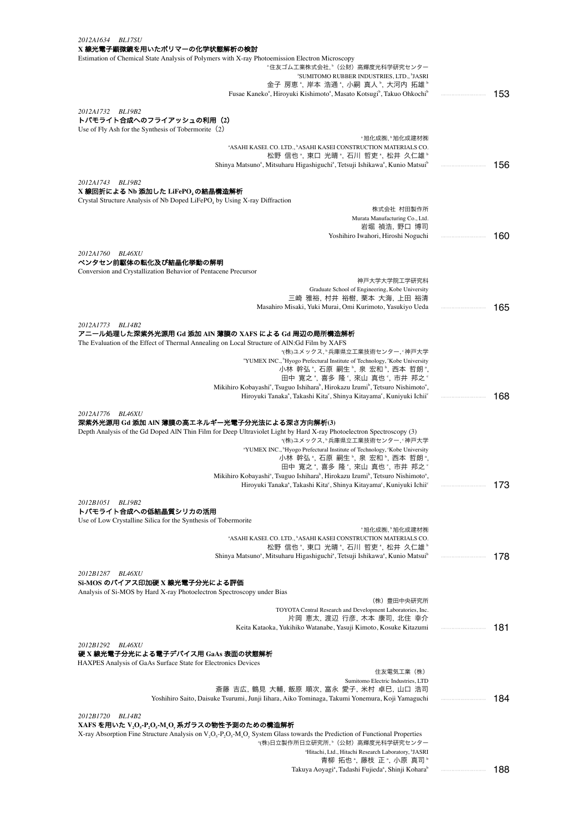| 2012A1634 BL17SU                                                                                                                                                                                     |     |
|------------------------------------------------------------------------------------------------------------------------------------------------------------------------------------------------------|-----|
| X 線光電子顕微鏡を用いたポリマーの化学状態解析の検討<br>Estimation of Chemical State Analysis of Polymers with X-ray Photoemission Electron Microscopy                                                                        |     |
| *住友ゴム工業株式会社, *(公財)高輝度光科学研究センター                                                                                                                                                                       |     |
| <sup>a</sup> SUMITOMO RUBBER INDUSTRIES, LTD., <sup>b</sup> JASRI                                                                                                                                    |     |
| 金子 房恵 ", 岸本 浩通 ", 小嗣 真人 ", 大河内 拓雄 "<br>Fusae Kaneko <sup>a</sup> , Hiroyuki Kishimoto <sup>a</sup> , Masato Kotsugi <sup>b</sup> , Takuo Ohkochi <sup>b</sup>                                        | 153 |
|                                                                                                                                                                                                      |     |
| 2012A1732 BL19B2                                                                                                                                                                                     |     |
| トバモライト合成へのフライアッシュの利用(2)<br>Use of Fly Ash for the Synthesis of Tobermorite (2)                                                                                                                       |     |
| "旭化成㈱,"旭化成建材㈱                                                                                                                                                                                        |     |
| <sup>a</sup> ASAHI KASEI. CO. LTD., <sup>b</sup> ASAHI KASEI CONSTRUCTION MATERIALS CO.                                                                                                              |     |
| 松野 信也 ゚, 東口 光晴 ゚, 石川 哲吏 ゚, 松井 久仁雄 ゚<br>Shinya Matsuno <sup>a</sup> , Mitsuharu Higashiguchi <sup>a</sup> , Tetsuji Ishikawa <sup>a</sup> , Kunio Matsui <sup>b</sup>                                 | 156 |
|                                                                                                                                                                                                      |     |
| 2012A1743 BL19B2                                                                                                                                                                                     |     |
| X 線回折による Nb 添加した LiFePO』の結晶構造解析<br>Crystal Structure Analysis of Nb Doped LiFePO <sub>4</sub> by Using X-ray Diffraction                                                                             |     |
| 株式会社 村田製作所                                                                                                                                                                                           |     |
| Murata Manufacturing Co., Ltd.                                                                                                                                                                       |     |
| 岩堀 禎浩, 野口 博司<br>Yoshihiro Iwahori, Hiroshi Noguchi                                                                                                                                                   | 160 |
|                                                                                                                                                                                                      |     |
| 2012A1760 BL46XU                                                                                                                                                                                     |     |
| ペンタセン前駆体の転化及び結晶化挙動の解明<br>Conversion and Crystallization Behavior of Pentacene Precursor                                                                                                              |     |
| 神戸大学大学院工学研究科                                                                                                                                                                                         |     |
| Graduate School of Engineering, Kobe University                                                                                                                                                      |     |
| 三崎 雅裕, 村井 裕樹, 栗本 大海, 上田 裕清<br>Masahiro Misaki, Yuki Murai, Omi Kurimoto, Yasukiyo Ueda                                                                                                               | 165 |
|                                                                                                                                                                                                      |     |
| 2012A1773 BL14B2                                                                                                                                                                                     |     |
| アニール処理した深紫外光源用 Gd 添加 AIN 薄膜の XAFS による Gd 周辺の局所構造解析<br>The Evaluation of the Effect of Thermal Annealing on Local Structure of AlN:Gd Film by XAFS                                                    |     |
| *(株)ユメックス, *兵庫県立工業技術センター, *神戸大学                                                                                                                                                                      |     |
| <sup>a</sup> YUMEX INC., <sup>b</sup> Hyogo Prefectural Institute of Technology, 'Kobe University                                                                                                    |     |
| 小林 幹弘*, 石原 嗣生*, 泉 宏和*, 西本 哲朗*,<br>田中 寛之*, 喜多 隆°, 來山 真也°, 市井 邦之°                                                                                                                                      |     |
| Mikihiro Kobayashi <sup>a</sup> , Tsuguo Ishihara <sup>b</sup> , Hirokazu Izumi <sup>b</sup> , Tetsuro Nishimoto <sup>a</sup> ,                                                                      |     |
| Hiroyuki Tanaka <sup>a</sup> , Takashi Kita <sup>c</sup> , Shinya Kitayama <sup>c</sup> , Kuniyuki Ichii <sup>c</sup>                                                                                | 168 |
| 2012A1776<br><b>BL46XU</b>                                                                                                                                                                           |     |
| 深紫外光源用 Gd 添加 AIN 薄膜の高エネルギー光電子分光法による深さ方向解析(3)                                                                                                                                                         |     |
| Depth Analysis of the Gd Doped AIN Thin Film for Deep Ultraviolet Light by Hard X-ray Photoelectron Spectroscopy (3)                                                                                 |     |
| *(株)ユメックス, *兵庫県立工業技術センター, *神戸大学<br>"YUMEX INC., "Hyogo Prefectural Institute of Technology, 'Kobe University                                                                                         |     |
| 小林 幹弘 ª, 石原 嗣生 º, 泉 宏和 º, 西本 哲朗 ª,                                                                                                                                                                   |     |
| 田中 寛之 *, 喜多 隆 °, 來山 真也 °, 市井 邦之 °<br>Mikihiro Kobayashi <sup>a</sup> , Tsuguo Ishihara <sup>b</sup> , Hirokazu Izumi <sup>b</sup> , Tetsuro Nishimoto <sup>a</sup>                                   |     |
| Hiroyuki Tanaka <sup>a</sup> , Takashi Kita <sup>c</sup> , Shinya Kitayama <sup>c</sup> , Kuniyuki Ichii <sup>c</sup>                                                                                | 173 |
|                                                                                                                                                                                                      |     |
| 2012B1051<br><b>BL19B2</b><br>トバモライト合成への低結晶質シリカの活用                                                                                                                                                   |     |
| Use of Low Crystalline Silica for the Synthesis of Tobermorite                                                                                                                                       |     |
| "旭化成㈱,"旭化成建材㈱                                                                                                                                                                                        |     |
| "ASAHI KASEI. CO. LTD., "ASAHI KASEI CONSTRUCTION MATERIALS CO.<br>松野 信也 *, 東口 光晴 *, 石川 哲吏 *, 松井 久仁雄 *                                                                                               |     |
| Shinya Matsuno <sup>a</sup> , Mitsuharu Higashiguchi <sup>a</sup> , Tetsuji Ishikawa <sup>a</sup> , Kunio Matsui <sup>o</sup>                                                                        | 178 |
|                                                                                                                                                                                                      |     |
| 2012B1287<br><b>BL46XU</b><br>Si-MOS のバイアス印加硬 X 線光電子分光による評価                                                                                                                                          |     |
| Analysis of Si-MOS by Hard X-ray Photoelectron Spectroscopy under Bias                                                                                                                               |     |
| (株)豊田中央研究所                                                                                                                                                                                           |     |
| TOYOTA Central Research and Development Laboratories, Inc.<br>片岡 恵太, 渡辺 行彦, 木本 康司, 北住 幸介                                                                                                             |     |
| Keita Kataoka, Yukihiko Watanabe, Yasuji Kimoto, Kosuke Kitazumi                                                                                                                                     | 181 |
|                                                                                                                                                                                                      |     |
| 2012B1292 BL46XU<br>硬 X 線光電子分光による電子デバイス用 GaAs 表面の状態解析                                                                                                                                                |     |
| HAXPES Analysis of GaAs Surface State for Electronics Devices                                                                                                                                        |     |
| 住友電気工業(株)                                                                                                                                                                                            |     |
| Sumitomo Electric Industries, LTD<br>斎藤 吉広, 鶴見 大輔, 飯原 順次, 富永 愛子, 米村 卓巳, 山口 浩司                                                                                                                        |     |
| Yoshihiro Saito, Daisuke Tsurumi, Junji Iihara, Aiko Tominaga, Takumi Yonemura, Koji Yamaguchi                                                                                                       | 184 |
|                                                                                                                                                                                                      |     |
| 2012B1720 BL14B2<br>$XAFS$ を用いた $V_2O_s$ - $P_2O_s$ - $M_sO_y$ 系ガラスの物性予測のための構造解析                                                                                                                     |     |
| X-ray Absorption Fine Structure Analysis on V <sub>2</sub> O <sub>5</sub> -P <sub>2</sub> O <sub>5</sub> -M <sub>3</sub> O <sub>y</sub> System Glass towards the Prediction of Functional Properties |     |
| *(株)日立製作所日立研究所, ゜(公財)高輝度光科学研究センター                                                                                                                                                                    |     |
| "Hitachi, Ltd., Hitachi Research Laboratory, 'JASRI<br>青柳 拓也 *, 藤枝 正 *, 小原 真司 *                                                                                                                      |     |

Takuya Aoyagi<sup>a</sup> , Tadashi Fujieda<sup>a</sup> , Shinji Koharab 188 ・・・・・・・・・・・・・・・・・・・・・・・・・・・・・・